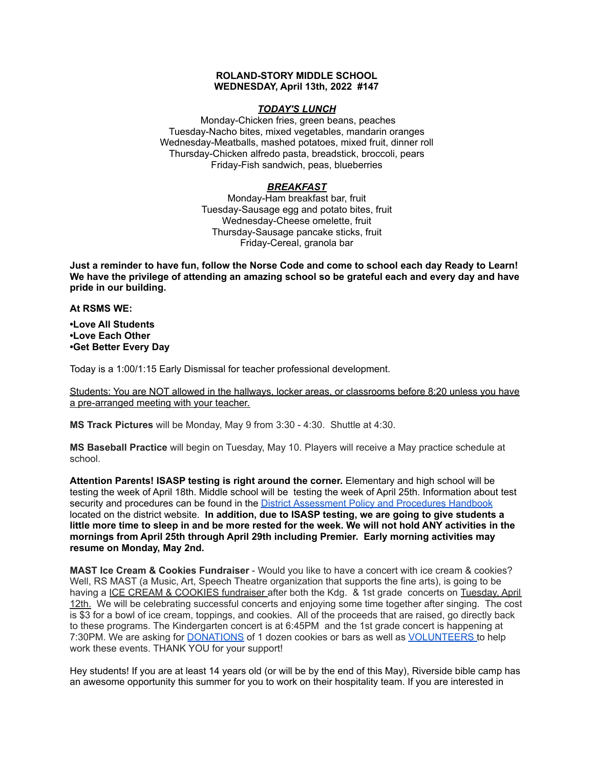# **ROLAND-STORY MIDDLE SCHOOL WEDNESDAY, April 13th, 2022 #147**

### *TODAY'S LUNCH*

Monday-Chicken fries, green beans, peaches Tuesday-Nacho bites, mixed vegetables, mandarin oranges Wednesday-Meatballs, mashed potatoes, mixed fruit, dinner roll Thursday-Chicken alfredo pasta, breadstick, broccoli, pears Friday-Fish sandwich, peas, blueberries

# *BREAKFAST*

Monday-Ham breakfast bar, fruit Tuesday-Sausage egg and potato bites, fruit Wednesday-Cheese omelette, fruit Thursday-Sausage pancake sticks, fruit Friday-Cereal, granola bar

Just a reminder to have fun, follow the Norse Code and come to school each day Ready to Learn! **We have the privilege of attending an amazing school so be grateful each and every day and have pride in our building.**

#### **At RSMS WE:**

**•Love All Students •Love Each Other •Get Better Every Day**

Today is a 1:00/1:15 Early Dismissal for teacher professional development.

Students: You are NOT allowed in the hallways, locker areas, or classrooms before 8:20 unless you have a pre-arranged meeting with your teacher.

**MS Track Pictures** will be Monday, May 9 from 3:30 - 4:30. Shuttle at 4:30.

**MS Baseball Practice** will begin on Tuesday, May 10. Players will receive a May practice schedule at school.

**Attention Parents! ISASP testing is right around the corner.** Elementary and high school will be testing the week of April 18th. Middle school will be testing the week of April 25th. Information about test security and procedures can be found in the District [Assessment](https://rolandstory.school/media/Michelle%20Soderstrum/RSCSD_District_Assessment_Poli%20-%20Copy%203.pdf) Policy and Procedures Handbook located on the district website. **In addition, due to ISASP testing, we are going to give students a** little more time to sleep in and be more rested for the week. We will not hold ANY activities in the **mornings from April 25th through April 29th including Premier. Early morning activities may resume on Monday, May 2nd.**

**MAST Ice Cream & Cookies Fundraiser** - Would you like to have a concert with ice cream & cookies? Well, RS MAST (a Music, Art, Speech Theatre organization that supports the fine arts), is going to be having a ICE CREAM & COOKIES fundraiser after both the Kdg. & 1st grade concerts on Tuesday, April 12th. We will be celebrating successful concerts and enjoying some time together after singing. The cost is \$3 for a bowl of ice cream, toppings, and cookies. All of the proceeds that are raised, go directly back to these programs. The Kindergarten concert is at 6:45PM and the 1st grade concert is happening at 7:30PM. We are asking for **[DONATIONS](https://www.signupgenius.com/go/4090C45ACAC2BA31-kdg)** of 1 dozen cookies or bars as well as **[VOLUNTEERS](https://www.signupgenius.com/go/4090C45ACAC2BA31-volunteers)** to help work these events. THANK YOU for your support!

Hey students! If you are at least 14 years old (or will be by the end of this May), Riverside bible camp has an awesome opportunity this summer for you to work on their hospitality team. If you are interested in